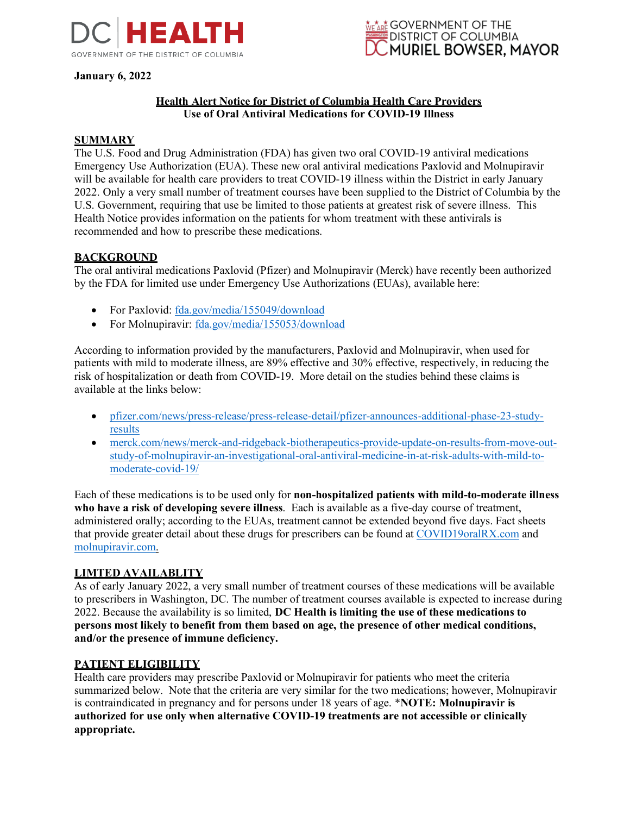

**January 6, 2022**



# **Health Alert Notice for District of Columbia Health Care Providers Use of Oral Antiviral Medications for COVID-19 Illness**

### **SUMMARY**

The U.S. Food and Drug Administration (FDA) has given two oral COVID-19 antiviral medications Emergency Use Authorization (EUA). These new oral antiviral medications Paxlovid and Molnupiravir will be available for health care providers to treat COVID-19 illness within the District in early January 2022. Only a very small number of treatment courses have been supplied to the District of Columbia by the U.S. Government, requiring that use be limited to those patients at greatest risk of severe illness. This Health Notice provides information on the patients for whom treatment with these antivirals is recommended and how to prescribe these medications.

### **BACKGROUND**

The oral antiviral medications Paxlovid (Pfizer) and Molnupiravir (Merck) have recently been authorized by the FDA for limited use under Emergency Use Authorizations (EUAs), available here:

- For Paxlovid: [fda.gov/media/155049/download](https://www.fda.gov/media/155049/download)
- For Molnupiravir: [fda.gov/media/155053/download](https://www.fda.gov/media/155053/download)

According to information provided by the manufacturers, Paxlovid and Molnupiravir, when used for patients with mild to moderate illness, are 89% effective and 30% effective, respectively, in reducing the risk of hospitalization or death from COVID-19. More detail on the studies behind these claims is available at the links below:

- [pfizer.com/news/press-release/press-release-detail/pfizer-announces-additional-phase-23-study](https://www.pfizer.com/news/press-release/press-release-detail/pfizer-announces-additional-phase-23-study-results)[results](https://www.pfizer.com/news/press-release/press-release-detail/pfizer-announces-additional-phase-23-study-results)
- [merck.com/news/merck-and-ridgeback-biotherapeutics-provide-update-on-results-from-move-out](https://www.merck.com/news/merck-and-ridgeback-biotherapeutics-provide-update-on-results-from-move-out-study-of-molnupiravir-an-investigational-oral-antiviral-medicine-in-at-risk-adults-with-mild-to-moderate-covid-19/)[study-of-molnupiravir-an-investigational-oral-antiviral-medicine-in-at-risk-adults-with-mild-to](https://www.merck.com/news/merck-and-ridgeback-biotherapeutics-provide-update-on-results-from-move-out-study-of-molnupiravir-an-investigational-oral-antiviral-medicine-in-at-risk-adults-with-mild-to-moderate-covid-19/)[moderate-covid-19/](https://www.merck.com/news/merck-and-ridgeback-biotherapeutics-provide-update-on-results-from-move-out-study-of-molnupiravir-an-investigational-oral-antiviral-medicine-in-at-risk-adults-with-mild-to-moderate-covid-19/)

Each of these medications is to be used only for **non-hospitalized patients with mild-to-moderate illness who have a risk of developing severe illness**. Each is available as a five-day course of treatment, administered orally; according to the EUAs, treatment cannot be extended beyond five days. Fact sheets that provide greater detail about these drugs for prescribers can be found at [COVID19oralRX.com](http://www.covid19oralrx.com/) and [molnupiravir.com.](http://www.molnupiravir.com/)

### **LIMTED AVAILABLITY**

As of early January 2022, a very small number of treatment courses of these medications will be available to prescribers in Washington, DC. The number of treatment courses available is expected to increase during 2022. Because the availability is so limited, **DC Health is limiting the use of these medications to persons most likely to benefit from them based on age, the presence of other medical conditions, and/or the presence of immune deficiency.**

### **PATIENT ELIGIBILITY**

Health care providers may prescribe Paxlovid or Molnupiravir for patients who meet the criteria summarized below. Note that the criteria are very similar for the two medications; however, Molnupiravir is contraindicated in pregnancy and for persons under 18 years of age. \***NOTE: Molnupiravir is authorized for use only when alternative COVID-19 treatments are not accessible or clinically appropriate.**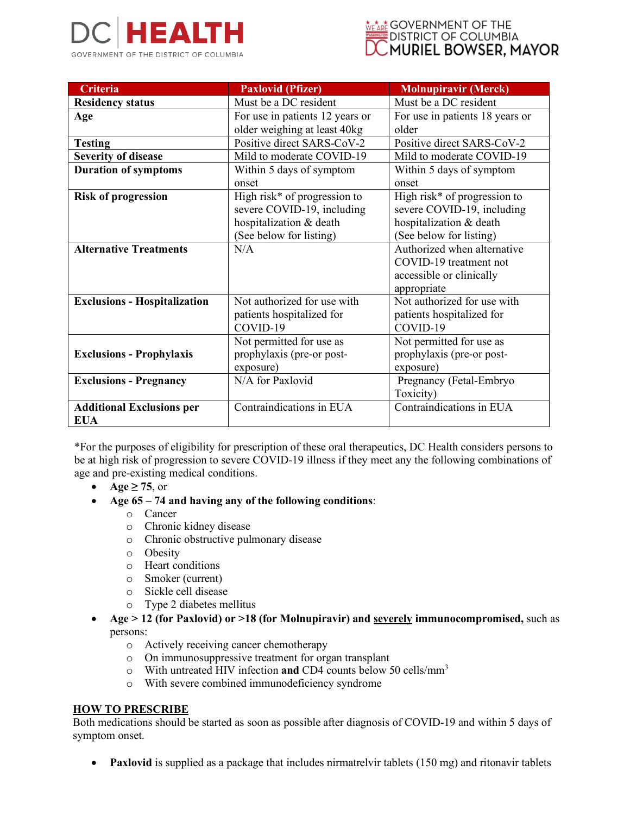



| <b>Criteria</b>                     | <b>Paxlovid (Pfizer)</b>        | <b>Molnupiravir (Merck)</b>     |
|-------------------------------------|---------------------------------|---------------------------------|
| <b>Residency status</b>             | Must be a DC resident           | Must be a DC resident           |
| Age                                 | For use in patients 12 years or | For use in patients 18 years or |
|                                     | older weighing at least 40kg    | older                           |
| <b>Testing</b>                      | Positive direct SARS-CoV-2      | Positive direct SARS-CoV-2      |
| <b>Severity of disease</b>          | Mild to moderate COVID-19       | Mild to moderate COVID-19       |
| <b>Duration of symptoms</b>         | Within 5 days of symptom        | Within 5 days of symptom        |
|                                     | onset                           | onset                           |
| <b>Risk of progression</b>          | High risk* of progression to    | High risk* of progression to    |
|                                     | severe COVID-19, including      | severe COVID-19, including      |
|                                     | hospitalization & death         | hospitalization & death         |
|                                     | (See below for listing)         | (See below for listing)         |
| <b>Alternative Treatments</b>       | N/A                             | Authorized when alternative     |
|                                     |                                 | COVID-19 treatment not          |
|                                     |                                 | accessible or clinically        |
|                                     |                                 | appropriate                     |
| <b>Exclusions - Hospitalization</b> | Not authorized for use with     | Not authorized for use with     |
|                                     | patients hospitalized for       | patients hospitalized for       |
|                                     | COVID-19                        | COVID-19                        |
|                                     | Not permitted for use as        | Not permitted for use as        |
| <b>Exclusions - Prophylaxis</b>     | prophylaxis (pre-or post-       | prophylaxis (pre-or post-       |
|                                     | exposure)                       | exposure)                       |
| <b>Exclusions - Pregnancy</b>       | N/A for Paxlovid                | Pregnancy (Fetal-Embryo         |
|                                     |                                 | Toxicity)                       |
| <b>Additional Exclusions per</b>    | Contraindications in EUA        | Contraindications in EUA        |
| <b>EUA</b>                          |                                 |                                 |

\*For the purposes of eligibility for prescription of these oral therapeutics, DC Health considers persons to be at high risk of progression to severe COVID-19 illness if they meet any the following combinations of age and pre-existing medical conditions.

- $\text{Age} \geq 75$ , or
- **Age 65 – 74 and having any of the following conditions**:
	- o Cancer
	- o Chronic kidney disease
	- o Chronic obstructive pulmonary disease
	- o Obesity
	- o Heart conditions
	- o Smoker (current)
	- o Sickle cell disease
	- o Type 2 diabetes mellitus
- **Age > 12 (for Paxlovid) or >18 (for Molnupiravir) and severely immunocompromised,** such as persons:
	- o Actively receiving cancer chemotherapy
	- o On immunosuppressive treatment for organ transplant
	- o With untreated HIV infection **and** CD4 counts below 50 cells/mm<sup>3</sup>
	- o With severe combined immunodeficiency syndrome

### **HOW TO PRESCRIBE**

Both medications should be started as soon as possible after diagnosis of COVID-19 and within 5 days of symptom onset.

**Paxlovid** is supplied as a package that includes nirmatrelvir tablets (150 mg) and ritonavir tablets